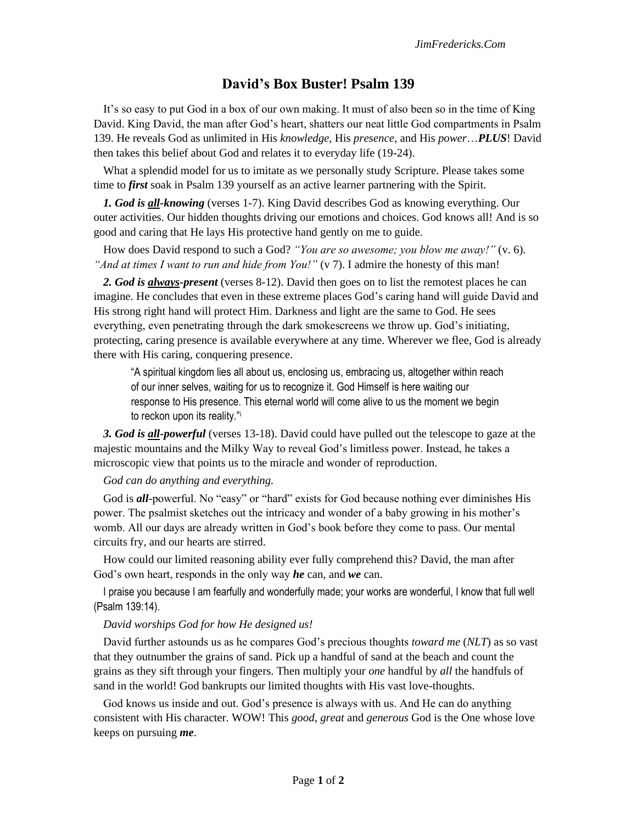## **David's Box Buster! Psalm 139**

It's so easy to put God in a box of our own making. It must of also been so in the time of King David. King David, the man after God's heart, shatters our neat little God compartments in Psalm 139. He reveals God as unlimited in His *knowledge*, His *presence*, and His *power*…*PLUS*! David then takes this belief about God and relates it to everyday life (19-24).

What a splendid model for us to imitate as we personally study Scripture. Please takes some time to *first* soak in Psalm 139 yourself as an active learner partnering with the Spirit.

*1. God is all-knowing* (verses 1-7). King David describes God as knowing everything. Our outer activities. Our hidden thoughts driving our emotions and choices. God knows all! And is so good and caring that He lays His protective hand gently on me to guide.

How does David respond to such a God? *"You are so awesome; you blow me away!"* (v. 6). *"And at times I want to run and hide from You!"* (v 7). I admire the honesty of this man!

*2. God is always-present* (verses 8-12). David then goes on to list the remotest places he can imagine. He concludes that even in these extreme places God's caring hand will guide David and His strong right hand will protect Him. Darkness and light are the same to God. He sees everything, even penetrating through the dark smokescreens we throw up. God's initiating, protecting, caring presence is available everywhere at any time. Wherever we flee, God is already there with His caring, conquering presence.

"A spiritual kingdom lies all about us, enclosing us, embracing us, altogether within reach of our inner selves, waiting for us to recognize it. God Himself is here waiting our response to His presence. This eternal world will come alive to us the moment we begin to reckon upon its reality."<sup>i</sup>

*3. God is all-powerful* (verses 13-18). David could have pulled out the telescope to gaze at the majestic mountains and the Milky Way to reveal God's limitless power. Instead, he takes a microscopic view that points us to the miracle and wonder of reproduction.

## *God can do anything and everything.*

God is *all*-powerful. No "easy" or "hard" exists for God because nothing ever diminishes His power. The psalmist sketches out the intricacy and wonder of a baby growing in his mother's womb. All our days are already written in God's book before they come to pass. Our mental circuits fry, and our hearts are stirred.

How could our limited reasoning ability ever fully comprehend this? David, the man after God's own heart, responds in the only way *he* can, and *we* can.

I praise you because I am fearfully and wonderfully made; your works are wonderful, I know that full well (Psalm 139:14).

## *David worships God for how He designed us!*

David further astounds us as he compares God's precious thoughts *toward me* (*NLT*) as so vast that they outnumber the grains of sand. Pick up a handful of sand at the beach and count the grains as they sift through your fingers. Then multiply your *one* handful by *all* the handfuls of sand in the world! God bankrupts our limited thoughts with His vast love-thoughts.

God knows us inside and out. God's presence is always with us. And He can do anything consistent with His character. WOW! This *good*, *great* and *generous* God is the One whose love keeps on pursuing *me*.